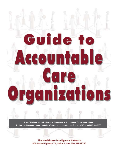Guide t **D ntab OUI**  $\overline{\phantom{a}}$  $\mathbf{r}$  $\bullet$ n)  $\lceil \cdot \rceil$  $\mathcal{A}$ 

**Note: This is an authorized excerpt from** *Guide to Accountable Care Organizations.* **To download the entire report, go to http://store.hin.com/product.asp?itemid=4578 or call 888-446-3530.**

> The Healthcare Intelligence Network 800 State Highway 71, Suite 2, Sea Girt, NJ 08750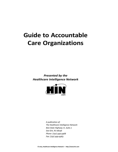# **Guide to Accountable Care Organizations**

*Presented by the Healthcare Intelligence Network*



*A publication of: The Healthcare Intelligence Network 800 State Highway 71, Suite 2 Sea Girt, NJ 08736 Phone: (732) 449-4468 Fax: (732) 449-4463*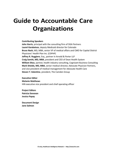# **Guide to Accountable Care Organizations**

#### **Contributing Speakers**

**John Harris**, principal with the consulting firm of DGA Partners **Laurel Karabatsos**, deputy Medicaid director for Colorado **Bruce Nash,** MD, MBA, senior VP of medical affairs and CMO for Capital District Physicians' Health Plan Inc. (CDPHP) **Jeffrey R. Ruggiero**, Esq., partner in Arnold & Porter LLP **Craig Samitt, MD, MBA**, president and CEO of Dean Health System **William Shea**, partner, health industry consulting, Cognizant Business Consulting **Mark Shields, MD, MBA**, senior medical director, Advocate Physician Partners, and vice president of medical management for Advocate Health Care **Steven T. Valentine**, president, The Camden Group

**Executive Editor Melanie Matthews** HIN executive vice president and chief operating officer

**Project Editors Patricia Donovan Jessica Papay**

**Document Design Jane Salmon**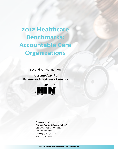**2012 Healthcare Benchmarks: Accountable Care Organizations** 

Second Annual Edition

*Presented by the Healthcare Intelligence Network*



*A publication of: The Healthcare Intelligence Network 800 State Highway 71, Suite 2 Sea Girt, NJ 08736 Phone: (732) 449-4468 Fax: (732) 449-4463*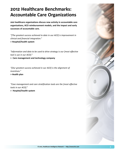# **2012 Healthcare Benchmarks: Accountable Care Organizations**

**200 healthcare organizations discuss new activity in accountable care organizations, ACO reimbursement models, and the impact and early successes of accountable care.**

*"[The greatest success achieved to date in our ACO] is improvement in clinical and financial integration."* **> Hospital/health system**

*"Information and data to be used to drive strategy is our [most effective tool is use in our ACO]."*

**> Care management and technology company**

*"[Our greatest success achieved in our ACO] is the alignment of incentives."* 

**> Health plan**

*"Case management and care stratification tools are the [most effective tools in our ACO]."*

**> Hospital/health system**

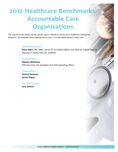# **2012 Healthcare Benchmarks: Accountable Care Organizations**

*The second annual edition of this special report is based on results from Healthcare Intelligence Network's "Accountable Care Organizations in 2012" e-survey administered in May 2012.*

#### **Contributing Speaker**

**Bruce Nash,** MD, MBA, senior VP of medical affairs and CMO for Capital District Physicians' Health Plan Inc. (CDPHP)

#### **Executive Editor**

**Melanie Matthews** HIN executive vice president and chief operating officer

#### **Project Editors**

**Patricia Donovan Jessica Papay**

#### **Document Design**

**Jane Salmon**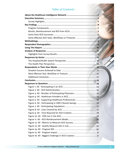### **Table of Contents**

| Figure 5: All - Supporting Healthcare Professionals  26   |
|-----------------------------------------------------------|
| Figure 6: All - Participating in CMS's Shared Savings  26 |
|                                                           |
|                                                           |
|                                                           |
|                                                           |
|                                                           |
|                                                           |
|                                                           |
|                                                           |
|                                                           |
|                                                           |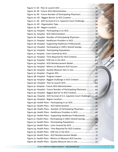| Figure 19: All - Future Number of Participating Physicians  33        |  |
|-----------------------------------------------------------------------|--|
|                                                                       |  |
| Figure 21: All - ACO Survival of U.S. Supreme Court Challenge 34      |  |
|                                                                       |  |
|                                                                       |  |
|                                                                       |  |
|                                                                       |  |
| Figure 26: Hospital - Number of Participating Physicians  36          |  |
|                                                                       |  |
| Figure 28: Hospital - Supporting Healthcare Professionals37           |  |
| Figure 29: Hospital - Participating in CMS's Shared Savings  38       |  |
|                                                                       |  |
|                                                                       |  |
| Figure 32: Hospital - Time Required for ACO Creation 39               |  |
|                                                                       |  |
|                                                                       |  |
| Figure 35: Hospital - Metrics to Measure ACO Success  41              |  |
|                                                                       |  |
|                                                                       |  |
|                                                                       |  |
|                                                                       |  |
| Figure 39: Hospital - Biggest Challenge in ACO Creation  43           |  |
|                                                                       |  |
|                                                                       |  |
| Figure 42: Hospital - Future Number of Participating Physicians  44   |  |
| Figure 43: Hospital - Biggest Barrier to ACO Creation  45             |  |
| Figure 44: Hospital - ACO Survival of U.S. Supreme Court Challenge 45 |  |
|                                                                       |  |
|                                                                       |  |
|                                                                       |  |
| Figure 48: Health Plans - Number of Participating Physicians 47       |  |
|                                                                       |  |
| Figure 50: Health Plans - Supporting Healthcare Professionals 48      |  |
| Figure 51: Health Plans - Participating in CMS's Shared Savings  49   |  |
|                                                                       |  |
|                                                                       |  |
|                                                                       |  |
|                                                                       |  |
| Figure 56: Health Plans - ACO Reimbursement Model  51                 |  |
| Figure 57: Health Plans - Metrics to Measure ACO Success 52           |  |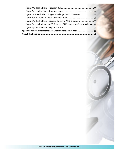| Figure 61: Health Plan - Biggest Challenge in ACO Creation  54           |  |
|--------------------------------------------------------------------------|--|
|                                                                          |  |
| Figure 63: Health Plans - Biggest Barrier to ACO Creation55              |  |
| Figure 64: Health Plans - ACO Survival of U.S. Supreme Court Challenge55 |  |
|                                                                          |  |
| Appendix A: 2012 Accountable Care Organizations Survey Tool  59          |  |
| About the Speaker ………………………………………………………………………… 64                        |  |

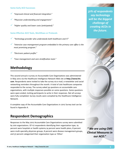#### <span id="page-9-0"></span>**Some Early ACO Successes**

- 9 *"Improved clinical and financial integration."*
- 9 *"Physician understanding and engagement."*
- 9 *"Higher quality and lower costs (anticipated)."*

#### **Some Effective ACO Tools, Workflows or Protocols**

- 9 *"Technology-provider who understands both healthcare and IT."*
- 9 *"Intensive case management program embedded in the primary care office is the most promising program."*
- 9 *"Electronic patient profile."*
- 9 *"Case management and care stratification tools."*

### **Methodology**

This second annual e-survey on Accountable Care Organizations was administered in May 2012 via the Healthcare Intelligence Network Web site at **http://www.hin. com**. Respondents were invited to take the survey via e-mail, e-newsletter and social networking reminders throughout the month. A total of 200 healthcare companies responded to the survey. The survey asked 34 questions on accountable care organizations, with multiple responses possible on some questions. Some questions were open-ended, inviting participants to write in their responses. Not all surveys were fully completed. Survey results were compiled by the Healthcare Intelligence Network.

A complete copy of the Accountable Care Organizations in 2012 Survey tool can be found in Appendix A.

### **Respondent Demographics**

Responses to the May 2012 Accountable Care Organizations survey were submitted by 200 organizations. Of 117 respondents identifying their organization type, 19 percent were hospitals or health systems,14 percent were health plans, 8 percent were multi-specialty physician groups, 8 percent were disease management groups, and 37 percent categorized their organization type as 'Other.'

*31% of respondents say technology will be the biggest challenge of creating ACOs in the future.*

*" We are using CMS Clinical Measures in our ACO."*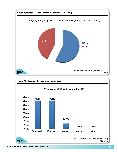<span id="page-10-0"></span>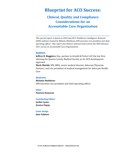# **Blueprint for ACO Success:**

## **Clinical, Quality and Compliance Considerations for an Accountable Care Organization**

*This special report is based on 2010 and 2011 Healthcare Intelligence Network (HIN) webinars hosted by Melanie Matthews, HIN executive vice president and chief operating officer. This report also delivers selected metrics from the HIN February 2011 survey on Accountable Care Organizations.*

#### **Authors**

**Jeffrey R. Ruggiero**, Esq., partner in Arnold & Porter LLP, the law firm advising the Queens County Medical Society on its ACO development approach

**Mark Shields**, MD, MBA, senior medical director, Advocate Physician Partners, and vice president of medical management for Advocate Health Care

#### **Moderator**

#### **Melanie Matthews**

HIN executive vice president and chief operating officer

#### **Editor**

**Patricia Donovan**

#### **Contributing Editors**

**Jackie Lyons Jessica Papay**

#### **Cover Design**

**Jane Salmon**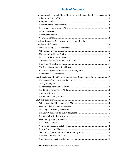### **Table of Contents**

| Framing the ACO Through Clinical Integration of Independent Physicians5 |  |
|-------------------------------------------------------------------------|--|
|                                                                         |  |
|                                                                         |  |
|                                                                         |  |
|                                                                         |  |
|                                                                         |  |
|                                                                         |  |
|                                                                         |  |
| Physician-Owned ACOs: Overcoming Legal and Regulatory                   |  |
|                                                                         |  |
|                                                                         |  |
|                                                                         |  |
|                                                                         |  |
|                                                                         |  |
|                                                                         |  |
|                                                                         |  |
|                                                                         |  |
|                                                                         |  |
|                                                                         |  |
| Benchmarks from the 2011 Accountable Care Organizations Survey  27      |  |
|                                                                         |  |
|                                                                         |  |
|                                                                         |  |
|                                                                         |  |
|                                                                         |  |
|                                                                         |  |
|                                                                         |  |
|                                                                         |  |
|                                                                         |  |
|                                                                         |  |
|                                                                         |  |
|                                                                         |  |
|                                                                         |  |
|                                                                         |  |
|                                                                         |  |
|                                                                         |  |
|                                                                         |  |
|                                                                         |  |
|                                                                         |  |
|                                                                         |  |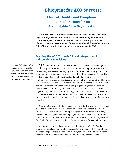# <span id="page-14-0"></span>**Blueprint for ACO Success:**

## **Clinical, Quality and Compliance Considerations for an Accountable Care Organization**

*Built into the accountable care organization (ACO) model is a business opportunity: provide a focal point of care while attaining health and cost containment goals. However, to ensure the fiscal health of an ACO, its planners must construct a strong clinical foundation while meeting state and federal legal, regulatory and compliance requirements for ACOs.* 

### **Framing the ACO Through Clinical Integration of Independent Physicians**

*Mark Shields, MD, is senior medical director with Advocate Physician Partners and vice president of medical management for Advocate Health Care.*

The market realities with health reform are some of the challenges that proposed in the challenges of the challenges that organizations face as we think about how to integrate providers and deliver a highly cost-effective, high quality, safe care model for our patients. First, large integrated multi-specialty groups are able to deliver on cost-effective, highquality safety. However, in most marketplaces in the country, there are very few multi-specialty groups, and that is certainly true in the Chicago metropolitan area where Advocate Health Care is focused. Nine of 10 Americans get their medical care in solo or small practices, so if we are going to re-engineer the delivery system, we have to find ways to include these small practices in delivering higher quality and safer care. To do that, you need infrastructure. You have to provide resources to drive those outcomes. You need to develop a culture. That evolves over time and it is a constant work; it needs to be a constant focus of any organization.

Clinical integration (CI) of providers is essential for the agenda that has been placed for us both by the federal Patient Protection and Affordable Care Act (PPACA), as well as discussions with private payors. Whether we are moving toward bundled payments or avoiding payment denials, responding to the cost pressures or putting together a structure to be an accountable care organization (ACO), all of these require providers to be integrated and firing on all cylinders.

CI was a lead story in hospitals and health networks in 2010. That is a great thing, but also a real problem, because to truly achieve CI, it cannot be the management philosophy du jour. Clinical integration has to be something that organizations must commit to and work on over a long period of time.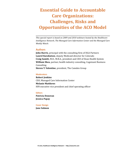# **Essential Guide to Accountable Care Organizations: Challenges, Risks and Opportunities of the ACO Model**

*This special report is based on 2009 and 2010 webinars hosted by the Healthcare Intelligence Network, The Managed Care Information Center and the Managed Care Weekly Watch.* 

#### **Authors**

**John Harris**, principal with the consulting firm of DGA Partners **Laurel Karabatsos**, deputy Medicaid director for Colorado **Craig Samitt,** M.D., M.B.A., president and CEO of Dean Health System **William Shea**, partner, health industry consulting, Cognizant Business Consulting **Steven T. Valentine**, president, The Camden Group

#### **Moderators**

**Robert Jenkins** CEO, Managed Care Information Center **Melanie Matthews** HIN executive vice president and chief operating officer

#### **Editors**

**Patricia Donovan Jessica Papay**

#### **Cover Design**

**Jane Salmon**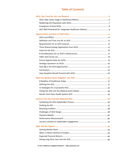### **Table of Contents**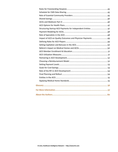| Structuring Startup ACO Payments for Independent Entities  47 |  |
|---------------------------------------------------------------|--|
|                                                               |  |
|                                                               |  |
|                                                               |  |
|                                                               |  |
|                                                               |  |
|                                                               |  |
|                                                               |  |
|                                                               |  |
|                                                               |  |
|                                                               |  |
|                                                               |  |
|                                                               |  |
|                                                               |  |
|                                                               |  |
|                                                               |  |
|                                                               |  |
|                                                               |  |
|                                                               |  |
|                                                               |  |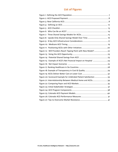## **List of Figures**

| Figure 8: Upside-Only Shared Savings Model Over Time  16           |  |
|--------------------------------------------------------------------|--|
|                                                                    |  |
|                                                                    |  |
|                                                                    |  |
| Figure 12: Will Providers Reach Tipping Point with New Model? 22   |  |
|                                                                    |  |
|                                                                    |  |
| Figure 15: Example of ACO's Net Financial Impact on Hospital 24    |  |
|                                                                    |  |
|                                                                    |  |
|                                                                    |  |
|                                                                    |  |
| Figure 20: Scorecard Example for Unblinded Patient Satisfaction 33 |  |
| Figure 21: Interrelationship Between Medical Home and ACOs34       |  |
|                                                                    |  |
|                                                                    |  |
|                                                                    |  |
|                                                                    |  |
|                                                                    |  |
|                                                                    |  |